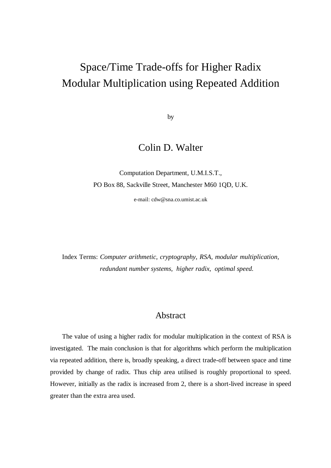# Space/Time Trade-offs for Higher Radix Modular Multiplication using Repeated Addition

by

# Colin D. Walter

Computation Department, U.M.I.S.T., PO Box 88, Sackville Street, Manchester M60 1QD, U.K.

e-mail: cdw@sna.co.umist.ac.uk

Index Terms: *Computer arithmetic, cryptography, RSA, modular multiplication, redundant number systems, higher radix, optimal speed.*

# Abstract

The value of using a higher radix for modular multiplication in the context of RSA is investigated. The main conclusion is that for algorithms which perform the multiplication via repeated addition, there is, broadly speaking, a direct trade-off between space and time provided by change of radix. Thus chip area utilised is roughly proportional to speed. However, initially as the radix is increased from 2, there is a short-lived increase in speed greater than the extra area used.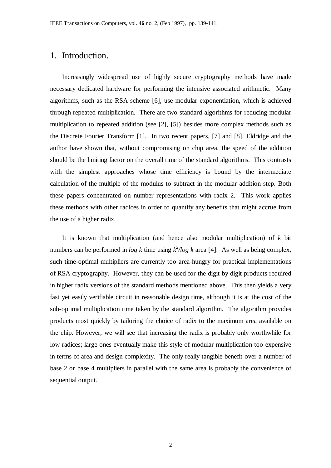### 1. Introduction.

Increasingly widespread use of highly secure cryptography methods have made necessary dedicated hardware for performing the intensive associated arithmetic. Many algorithms, such as the RSA scheme [6], use modular exponentiation, which is achieved through repeated multiplication. There are two standard algorithms for reducing modular multiplication to repeated addition (see [2], [5]) besides more complex methods such as the Discrete Fourier Transform [1]. In two recent papers, [7] and [8], Eldridge and the author have shown that, without compromising on chip area, the speed of the addition should be the limiting factor on the overall time of the standard algorithms. This contrasts with the simplest approaches whose time efficiency is bound by the intermediate calculation of the multiple of the modulus to subtract in the modular addition step. Both these papers concentrated on number representations with radix 2. This work applies these methods with other radices in order to quantify any benefits that might accrue from the use of a higher radix.

It is known that multiplication (and hence also modular multiplication) of *k* bit numbers can be performed in *log k* time using  $k^2/log k$  area [4]. As well as being complex, such time-optimal multipliers are currently too area-hungry for practical implementations of RSA cryptography. However, they can be used for the digit by digit products required in higher radix versions of the standard methods mentioned above. This then yields a very fast yet easily verifiable circuit in reasonable design time, although it is at the cost of the sub-optimal multiplication time taken by the standard algorithm. The algorithm provides products most quickly by tailoring the choice of radix to the maximum area available on the chip. However, we will see that increasing the radix is probably only worthwhile for low radices; large ones eventually make this style of modular multiplication too expensive in terms of area and design complexity. The only really tangible benefit over a number of base 2 or base 4 multipliers in parallel with the same area is probably the convenience of sequential output.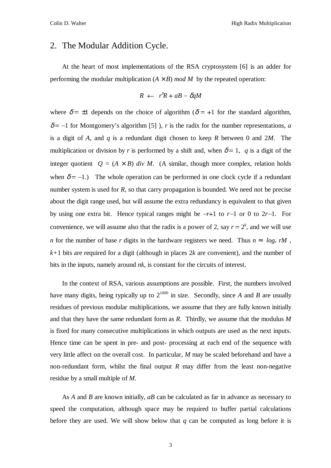#### 2. The Modular Addition Cycle.

At the heart of most implementations of the RSA cryptosystem [6] is an adder for performing the modular multiplication  $(A \times B)$  *mod M* by the repeated operation:

$$
R \leftarrow r^{\delta}R + aB - \delta qM
$$

where  $\delta = \pm 1$  depends on the choice of algorithm ( $\delta = +1$  for the standard algorithm,  $\delta$  = -1 for Montgomery's algorithm [5]), *r* is the radix for the number representations, *a* is a digit of *A*, and *q* is a redundant digit chosen to keep *R* between 0 and 2*M*. The multiplication or division by *r* is performed by a shift and, when  $\delta = 1$ , *q* is a digit of the integer quotient  $Q = (A \times B)$  div M. (A similar, though more complex, relation holds when  $\delta = -1$ .) The whole operation can be performed in one clock cycle if a redundant number system is used for *R*, so that carry propagation is bounded. We need not be precise about the digit range used, but will assume the extra redundancy is equivalent to that given by using one extra bit. Hence typical ranges might be  $-r+1$  to  $r-1$  or 0 to  $2r-1$ . For convenience, we will assume also that the radix is a power of 2, say  $r = 2^k$ , and we will use *n* for the number of base *r* digits in the hardware registers we need. Thus  $n \approx \lceil log_r rM \rceil$ ,  $k+1$  bits are required for a digit (although in places 2k are convenient), and the number of bits in the inputs, namely around *nk*, is constant for the circuits of interest.

In the context of RSA, various assumptions are possible. First, the numbers involved have many digits, being typically up to  $2^{1000}$  in size. Secondly, since *A* and *B* are usually residues of previous modular multiplications, we assume that they are fully known initially and that they have the same redundant form as *R*. Thirdly, we assume that the modulus *M* is fixed for many consecutive multiplications in which outputs are used as the next inputs. Hence time can be spent in pre- and post- processing at each end of the sequence with very little affect on the overall cost. In particular, *M* may be scaled beforehand and have a non-redundant form, whilst the final output *R* may differ from the least non-negative residue by a small multiple of *M*.

As *A* and *B* are known initially, *aB* can be calculated as far in advance as necessary to speed the computation, although space may be required to buffer partial calculations before they are used. We will show below that *q* can be computed as long before it is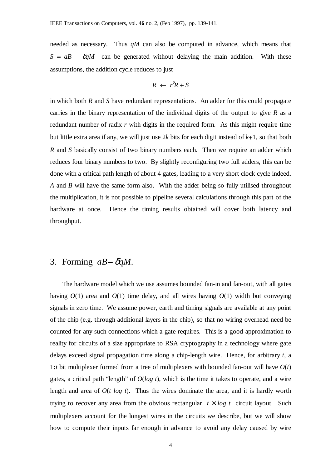needed as necessary. Thus *qM* can also be computed in advance, which means that  $S = aB - \delta qM$  can be generated without delaying the main addition. With these assumptions, the addition cycle reduces to just

$$
R \leftarrow r^{\delta}R + S
$$

in which both *R* and *S* have redundant representations. An adder for this could propagate carries in the binary representation of the individual digits of the output to give *R* as a redundant number of radix *r* with digits in the required form. As this might require time but little extra area if any, we will just use 2*k* bits for each digit instead of *k*+1, so that both *R* and *S* basically consist of two binary numbers each. Then we require an adder which reduces four binary numbers to two. By slightly reconfiguring two full adders, this can be done with a critical path length of about 4 gates, leading to a very short clock cycle indeed. *A* and *B* will have the same form also. With the adder being so fully utilised throughout the multiplication, it is not possible to pipeline several calculations through this part of the hardware at once. Hence the timing results obtained will cover both latency and throughput.

# 3. Forming *aB*- <sup>δ</sup>*qM*.

The hardware model which we use assumes bounded fan-in and fan-out, with all gates having  $O(1)$  area and  $O(1)$  time delay, and all wires having  $O(1)$  width but conveying signals in zero time. We assume power, earth and timing signals are available at any point of the chip (e.g. through additional layers in the chip), so that no wiring overhead need be counted for any such connections which a gate requires. This is a good approximation to reality for circuits of a size appropriate to RSA cryptography in a technology where gate delays exceed signal propagation time along a chip-length wire. Hence, for arbitrary *t*, a 1**:***t* bit multiplexer formed from a tree of multiplexers with bounded fan-out will have *O*(*t*) gates, a critical path "length" of *O*(*log t*), which is the time it takes to operate, and a wire length and area of *O*(*t log t*). Thus the wires dominate the area, and it is hardly worth trying to recover any area from the obvious rectangular  $t \times log t$  circuit layout. Such multiplexers account for the longest wires in the circuits we describe, but we will show how to compute their inputs far enough in advance to avoid any delay caused by wire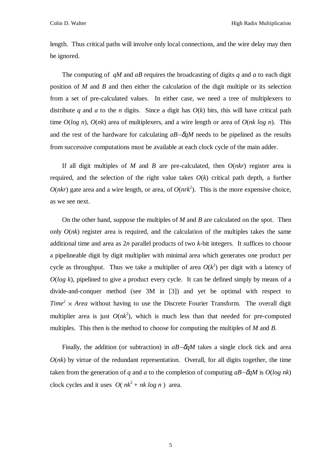length. Thus critical paths will involve only local connections, and the wire delay may then be ignored.

The computing of *qM* and *aB* requires the broadcasting of digits *q* and *a* to each digit position of *M* and *B* and then either the calculation of the digit multiple or its selection from a set of pre-calculated values. In either case, we need a tree of multiplexers to distribute *q* and *a* to the *n* digits. Since a digit has  $O(k)$  bits, this will have critical path time *O*(*log n*), *O*(*nk*) area of multiplexers, and a wire length or area of *O*(*nk log n*). This and the rest of the hardware for calculating  $aB-\delta qM$  needs to be pipelined as the results from successive computations must be available at each clock cycle of the main adder.

If all digit multiples of *M* and *B* are pre-calculated, then  $O(nkr)$  register area is required, and the selection of the right value takes  $O(k)$  critical path depth, a further  $O(nkr)$  gate area and a wire length, or area, of  $O(nrk^2)$ . This is the more expensive choice, as we see next.

On the other hand, suppose the multiples of *M* and *B* are calculated on the spot. Then only  $O(nk)$  register area is required, and the calculation of the multiples takes the same additional time and area as 2*n* parallel products of two *k*-bit integers. It suffices to choose a pipelineable digit by digit multiplier with minimal area which generates one product per cycle as throughput. Thus we take a multiplier of area  $O(k^2)$  per digit with a latency of  $O(log k)$ , pipelined to give a product every cycle. It can be defined simply by means of a divide-and-conquer method (see 3M in [3]) and yet be optimal with respect to  $Time<sup>2</sup> \times Area$  without having to use the Discrete Fourier Transform. The overall digit multiplier area is just  $O(nk^2)$ , which is much less than that needed for pre-computed multiples. This then is the method to choose for computing the multiples of *M* and *B*.

Finally, the addition (or subtraction) in *aB*-δ*qM* takes a single clock tick and area  $O(nk)$  by virtue of the redundant representation. Overall, for all digits together, the time taken from the generation of *q* and *a* to the completion of computing  $aB - \delta qM$  is  $O(log n k)$ clock cycles and it uses  $O(nk^2 + nk \log n)$  area.

5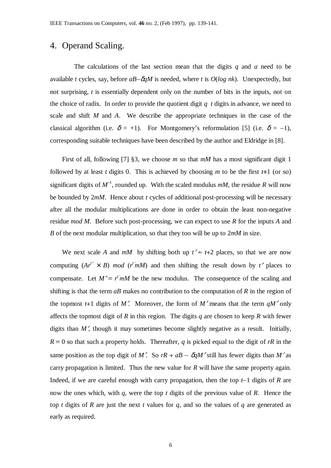## 4. Operand Scaling.

The calculations of the last section mean that the digits *q* and *a* need to be available *t* cycles, say, before *aB*-δ*qM* is needed, where *t* is *O*(*log nk*). Unexpectedly, but not surprising, *t* is essentially dependent only on the number of bits in the inputs, not on the choice of radix. In order to provide the quotient digit *q t* digits in advance, we need to scale and shift *M* and *A*. We describe the appropriate techniques in the case of the classical algorithm (i.e.  $\delta = +1$ ). For Montgomery's reformulation [5] (i.e.  $\delta = -1$ ), corresponding suitable techniques have been described by the author and Eldridge in [8].

First of all, following [7] §3, we choose *m* so that *mM* has a most significant digit 1 followed by at least *t* digits 0. This is achieved by choosing *m* to be the first  $t+1$  (or so) significant digits of  $M^{-1}$ , rounded up. With the scaled modulus  $mM$ , the residue R will now be bounded by 2*mM*. Hence about *t* cycles of additional post-processing will be necessary after all the modular multiplications are done in order to obtain the least non-negative residue *mod M*. Before such post-processing, we can expect to use *R* for the inputs *A* and *B* of the next modular multiplication, so that they too will be up to 2*mM* in size.

We next scale *A* and *mM* by shifting both up  $t' \approx t+2$  places, so that we are now computing  $(Ar^{t'} \times B)$  *mod*  $(r^{t'}mM)$  and then shifting the result down by *t'* places to compensate. Let  $M' = r' mM$  be the new modulus. The consequence of the scaling and shifting is that the term *aB* makes no contribution to the computation of *R* in the region of the topmost  $t+1$  digits of M'. Moreover, the form of M' means that the term  $qM'$  only affects the topmost digit of *R* in this region. The digits *q* are chosen to keep *R* with fewer digits than  $M'$ , though it may sometimes become slightly negative as a result. Initially,  $R = 0$  so that such a property holds. Thereafter, *q* is picked equal to the digit of *rR* in the same position as the top digit of *M'*. So  $rR + aB - \delta qM'$  still has fewer digits than *M'* as carry propagation is limited. Thus the new value for *R* will have the same property again. Indeed, if we are careful enough with carry propagation, then the top *t*-1 digits of *R* are now the ones which, with *q*, were the top *t* digits of the previous value of *R*. Hence the top *t* digits of *R* are just the next *t* values for *q*, and so the values of *q* are generated as early as required.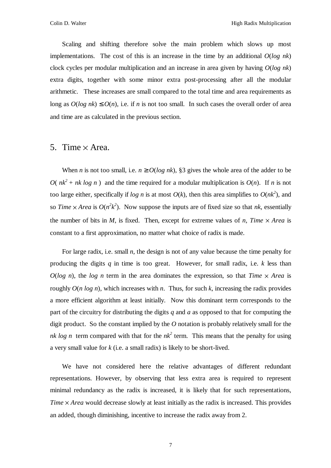Scaling and shifting therefore solve the main problem which slows up most implementations. The cost of this is an increase in the time by an additional  $O(log n k)$ clock cycles per modular multiplication and an increase in area given by having *O*(*log nk*) extra digits, together with some minor extra post-processing after all the modular arithmetic. These increases are small compared to the total time and area requirements as long as  $O(log n k) \leq O(n)$ , i.e. if *n* is not too small. In such cases the overall order of area and time are as calculated in the previous section.

#### 5. Time  $\times$  Area.

When *n* is not too small, i.e.  $n \ge O(\log nk)$ , §3 gives the whole area of the adder to be *O*( $nk^2 + nk \log n$ ) and the time required for a modular multiplication is  $O(n)$ . If *n* is not too large either, specifically if *log n* is at most  $O(k)$ , then this area simplifies to  $O(nk^2)$ , and so *Time*  $\times$  *Area* is  $O(n^2k^2)$ . Now suppose the inputs are of fixed size so that *nk*, essentially the number of bits in *M*, is fixed. Then, except for extreme values of *n*, *Time*  $\times$  *Area* is constant to a first approximation, no matter what choice of radix is made.

For large radix, i.e. small *n*, the design is not of any value because the time penalty for producing the digits *q* in time is too great. However, for small radix, i.e. *k* less than  $O(log n)$ , the *log n* term in the area dominates the expression, so that *Time*  $\times$  *Area* is roughly *O*(*n log n*), which increases with *n*. Thus, for such *k*, increasing the radix provides a more efficient algorithm at least initially. Now this dominant term corresponds to the part of the circuitry for distributing the digits *q* and *a* as opposed to that for computing the digit product. So the constant implied by the *O* notation is probably relatively small for the *nk log n* term compared with that for the  $nk^2$  term. This means that the penalty for using a very small value for *k* (i.e. a small radix) is likely to be short-lived.

We have not considered here the relative advantages of different redundant representations. However, by observing that less extra area is required to represent minimal redundancy as the radix is increased, it is likely that for such representations, *Time*  $\times$  *Area* would decrease slowly at least initially as the radix is increased. This provides an added, though diminishing, incentive to increase the radix away from 2.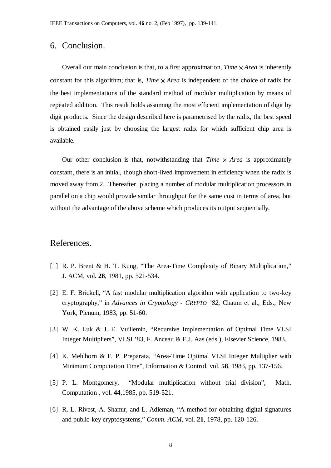### 6. Conclusion.

Overall our main conclusion is that, to a first approximation, *Time*  $\times$  *Area* is inherently constant for this algorithm; that is, *Time*  $\times$  *Area* is independent of the choice of radix for the best implementations of the standard method of modular multiplication by means of repeated addition. This result holds assuming the most efficient implementation of digit by digit products. Since the design described here is parametrised by the radix, the best speed is obtained easily just by choosing the largest radix for which sufficient chip area is available.

Our other conclusion is that, notwithstanding that *Time*  $\times$  *Area* is approximately constant, there is an initial, though short-lived improvement in efficiency when the radix is moved away from 2. Thereafter, placing a number of modular multiplication processors in parallel on a chip would provide similar throughput for the same cost in terms of area, but without the advantage of the above scheme which produces its output sequentially.

### References.

- [1] R. P. Brent & H. T. Kung, "The Area-Time Complexity of Binary Multiplication," J. ACM, vol. **28**, 1981, pp. 521-534.
- [2] E. F. Brickell, "A fast modular multiplication algorithm with application to two-key cryptography," in *Advances in Cryptology - CRYPTO '82*, Chaum et al., Eds., New York, Plenum, 1983, pp. 51-60.
- [3] W. K. Luk & J. E. Vuillemin, "Recursive Implementation of Optimal Time VLSI Integer Multipliers", VLSI '83, F. Anceau & E.J. Aas (eds.), Elsevier Science, 1983.
- [4] K. Mehlhorn & F. P. Preparata, "Area-Time Optimal VLSI Integer Multiplier with Minimum Computation Time", Information & Control, vol. **58**, 1983, pp. 137-156.
- [5] P. L. Montgomery, "Modular multiplication without trial division", Math. Computation , vol. **44**,1985, pp. 519-521.
- [6] R. L. Rivest, A. Shamir, and L. Adleman, "A method for obtaining digital signatures and public-key cryptosystems," *Comm. ACM*, vol. **21**, 1978, pp. 120-126.